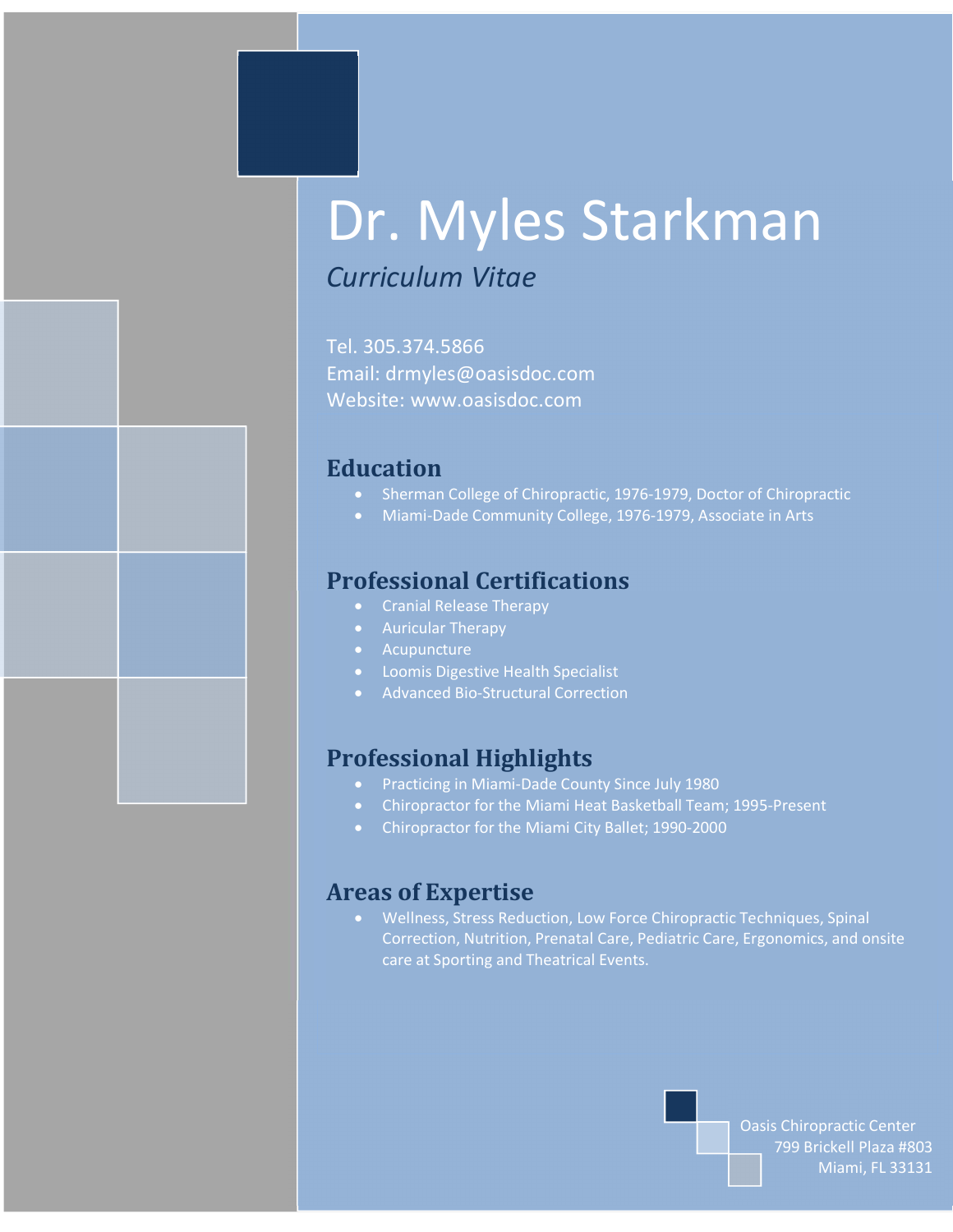# Dr. Myles Starkman

## *Curriculum Vitae*

Tel. 305.374.5866 Email: drmyles@oasisdoc.com Website: www.oasisdoc.com

## **Education**

- · Sherman College of Chiropractic, 1976-1979, Doctor of Chiropractic
- · Miami-Dade Community College, 1976-1979, Associate in Arts

## **Professional Certifications**

- · Cranial Release Therapy
- · Auricular Therapy
- Acupuncture
- · Loomis Digestive Health Specialist
- · Advanced Bio-Structural Correction

## **Professional Highlights**

- · Practicing in Miami-Dade County Since July 1980
- · Chiropractor for the Miami Heat Basketball Team; 1995-Present
- · Chiropractor for the Miami City Ballet; 1990-2000

### **Areas of Expertise**

· Wellness, Stress Reduction, Low Force Chiropractic Techniques, Spinal Correction, Nutrition, Prenatal Care, Pediatric Care, Ergonomics, and onsite care at Sporting and Theatrical Events.

> Oasis Chiropractic Center 799 Brickell Plaza #803 Miami, FL 33131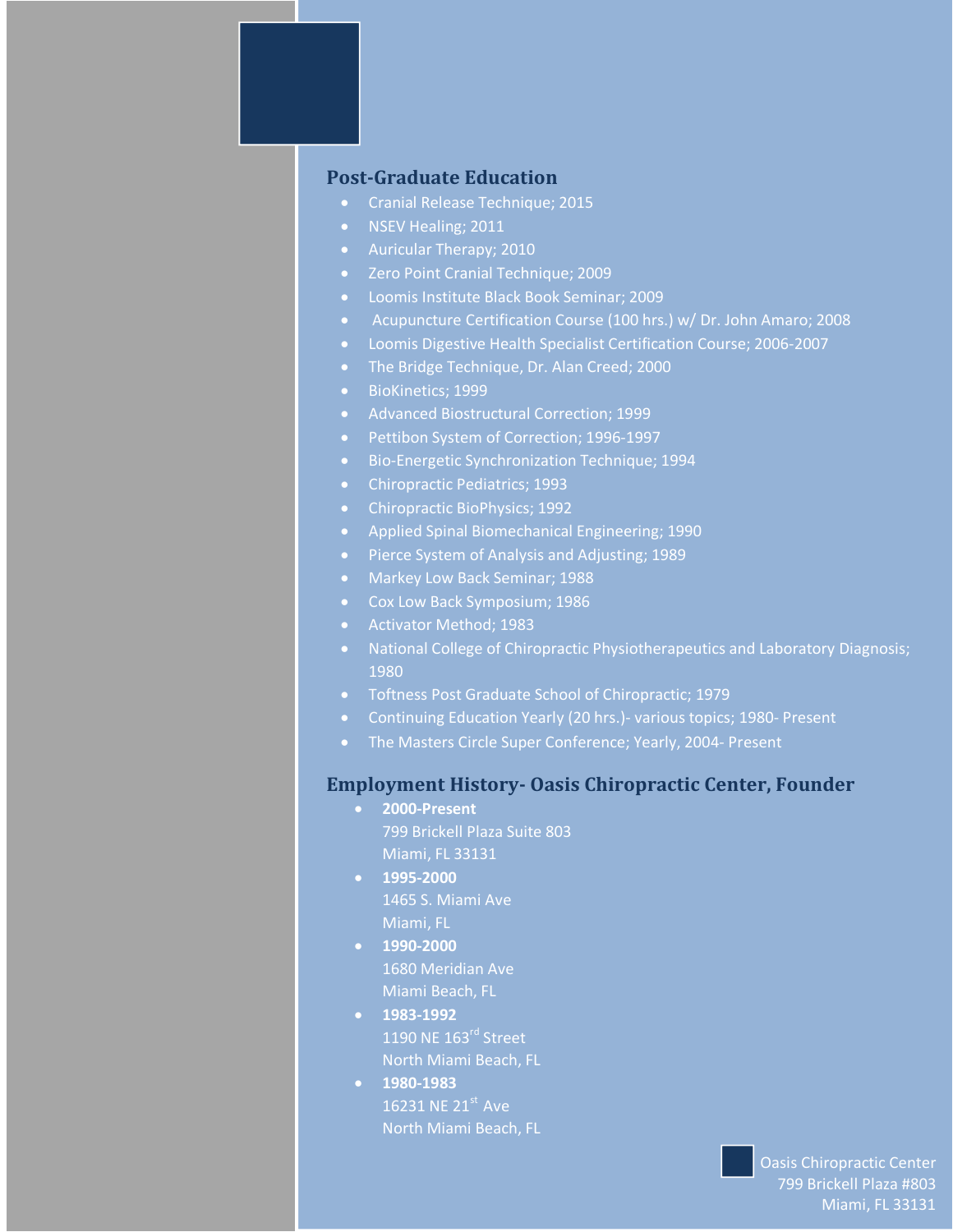#### **Post-Graduate Education**

- · Cranial Release Technique; 2015
- · NSEV Healing; 2011
- · Auricular Therapy; 2010
- · Zero Point Cranial Technique; 2009
- · Loomis Institute Black Book Seminar; 2009
- · Acupuncture Certification Course (100 hrs.) w/ Dr. John Amaro; 2008
- · Loomis Digestive Health Specialist Certification Course; 2006-2007
- · The Bridge Technique, Dr. Alan Creed; 2000
- · BioKinetics; 1999
- · Advanced Biostructural Correction; 1999
- · Pettibon System of Correction; 1996-1997
- · Bio-Energetic Synchronization Technique; 1994
- · Chiropractic Pediatrics; 1993
- · Chiropractic BioPhysics; 1992
- · Applied Spinal Biomechanical Engineering; 1990
- · Pierce System of Analysis and Adjusting; 1989
- · Markey Low Back Seminar; 1988
- · Cox Low Back Symposium; 1986
- · Activator Method; 1983
- · National College of Chiropractic Physiotherapeutics and Laboratory Diagnosis; 1980
- · Toftness Post Graduate School of Chiropractic; 1979
- · Continuing Education Yearly (20 hrs.)- various topics; 1980- Present
- The Masters Circle Super Conference; Yearly, 2004- Present

#### **Employment History- Oasis Chiropractic Center, Founder**

- · **2000-Present** 799 Brickell Plaza Suite 803 Miami, FL 33131
- · **1995-2000** 1465 S. Miami Ave Miami, FL
- · **1990-2000** 1680 Meridian Ave Miami Beach, FL
- · **1983-1992** 1190 NE 163<sup>rd</sup> Street North Miami Beach, FL
- · **1980-1983** 16231 NE 21<sup>st</sup> Ave North Miami Beach, FL

Oasis Chiropractic Center 799 Brickell Plaza #803 Miami, FL 33131